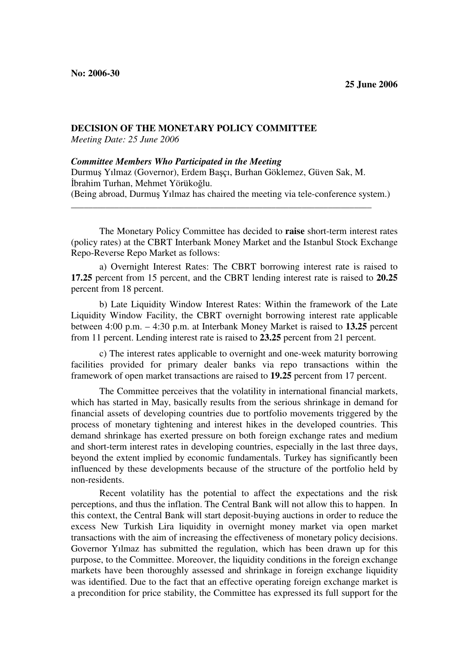## **DECISION OF THE MONETARY POLICY COMMITTEE**

*Meeting Date: 25 June 2006* 

## *Committee Members Who Participated in the Meeting*

Durmuş Yılmaz (Governor), Erdem Başçı, Burhan Göklemez, Güven Sak, M. İbrahim Turhan, Mehmet Yörükoğlu. (Being abroad, Durmuş Yılmaz has chaired the meeting via tele-conference system.)

\_\_\_\_\_\_\_\_\_\_\_\_\_\_\_\_\_\_\_\_\_\_\_\_\_\_\_\_\_\_\_\_\_\_\_\_\_\_\_\_\_\_\_\_\_\_\_\_\_\_\_\_\_\_\_\_\_\_\_\_\_\_\_\_\_\_\_\_\_

The Monetary Policy Committee has decided to **raise** short-term interest rates (policy rates) at the CBRT Interbank Money Market and the Istanbul Stock Exchange Repo-Reverse Repo Market as follows:

a) Overnight Interest Rates: The CBRT borrowing interest rate is raised to **17.25** percent from 15 percent, and the CBRT lending interest rate is raised to **20.25**  percent from 18 percent.

b) Late Liquidity Window Interest Rates: Within the framework of the Late Liquidity Window Facility, the CBRT overnight borrowing interest rate applicable between 4:00 p.m. – 4:30 p.m. at Interbank Money Market is raised to **13.25** percent from 11 percent. Lending interest rate is raised to **23.25** percent from 21 percent.

c) The interest rates applicable to overnight and one-week maturity borrowing facilities provided for primary dealer banks via repo transactions within the framework of open market transactions are raised to **19.25** percent from 17 percent.

The Committee perceives that the volatility in international financial markets, which has started in May, basically results from the serious shrinkage in demand for financial assets of developing countries due to portfolio movements triggered by the process of monetary tightening and interest hikes in the developed countries. This demand shrinkage has exerted pressure on both foreign exchange rates and medium and short-term interest rates in developing countries, especially in the last three days, beyond the extent implied by economic fundamentals. Turkey has significantly been influenced by these developments because of the structure of the portfolio held by non-residents.

Recent volatility has the potential to affect the expectations and the risk perceptions, and thus the inflation. The Central Bank will not allow this to happen. In this context, the Central Bank will start deposit-buying auctions in order to reduce the excess New Turkish Lira liquidity in overnight money market via open market transactions with the aim of increasing the effectiveness of monetary policy decisions. Governor Yılmaz has submitted the regulation, which has been drawn up for this purpose, to the Committee. Moreover, the liquidity conditions in the foreign exchange markets have been thoroughly assessed and shrinkage in foreign exchange liquidity was identified. Due to the fact that an effective operating foreign exchange market is a precondition for price stability, the Committee has expressed its full support for the